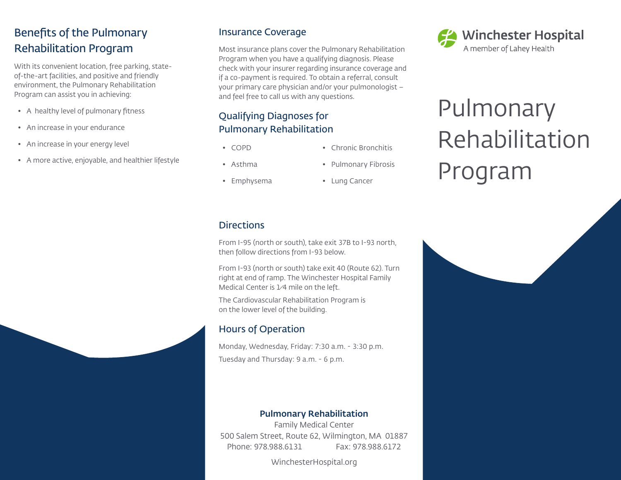# Benefits of the Pulmonary Rehabilitation Program

With its convenient location, free parking, stateof-the-art facilities, and positive and friendly environment, the Pulmonary Rehabilitation Program can assist you in achieving:

- A healthy level of pulmonary fitness
- An increase in your endurance
- An increase in your energy level
- A more active, enjoyable, and healthier lifestyle

### Insurance Coverage

Most insurance plans cover the Pulmonary Rehabilitation Program when you have a qualifying diagnosis. Please check with your insurer regarding insurance coverage and if a co-payment is required. To obtain a referral, consult your primary care physician and/or your pulmonologist – and feel free to call us with any questions.

### Qualifying Diagnoses for Pulmonary Rehabilitation

- COPD
- Asthma
- Emphysema

• Pulmonary Fibrosis

• Chronic Bronchitis

• Lung Cancer

### **Directions**

From I-95 (north or south), take exit 37B to I-93 north, then follow directions from I-93 below.

From I-93 (north or south) take exit 40 (Route 62). Turn right at end of ramp. The Winchester Hospital Family Medical Center is 1⁄4 mile on the left.

The Cardiovascular Rehabilitation Program is on the lower level of the building.

### Hours of Operation

Monday, Wednesday, Friday: 7:30 a.m. - 3:30 p.m. Tuesday and Thursday: 9 a.m. - 6 p.m.

#### Pulmonary Rehabilitation

Family Medical Center 500 Salem Street, Route 62, Wilmington, MA 01887 Phone: 978.988.6131 Fax: 978.988.6172

WinchesterHospital.org



# Pulmonary Rehabilitation Program